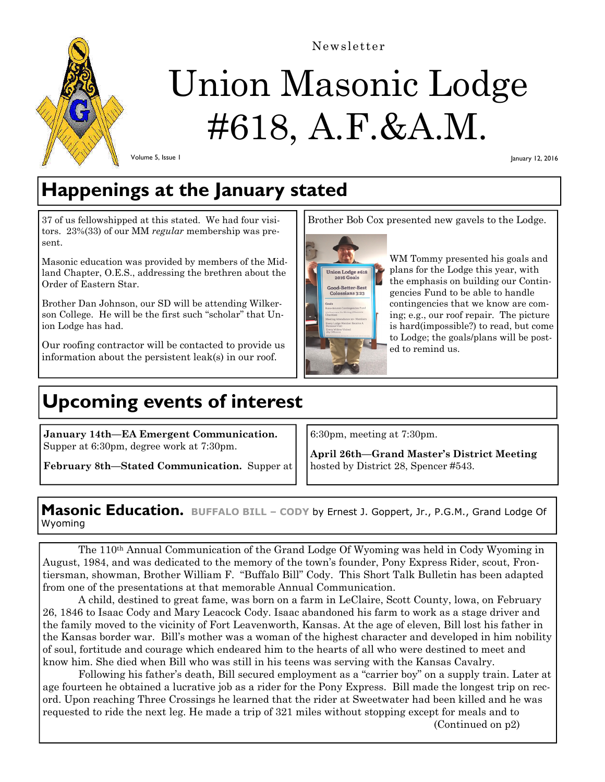

Newsletter

# Union Masonic Lodge #618, A.F.&A.M.

Volume 5, Issue 1

January 12, 2016

## **Happenings at the January stated**

37 of us fellowshipped at this stated. We had four visitors. 23%(33) of our MM *regular* membership was present.

Masonic education was provided by members of the Midland Chapter, O.E.S., addressing the brethren about the Order of Eastern Star.

Brother Dan Johnson, our SD will be attending Wilkerson College. He will be the first such "scholar" that Union Lodge has had.

Our roofing contractor will be contacted to provide us information about the persistent leak(s) in our roof.

# **Upcoming events of interest**

**January 14th—EA Emergent Communication.**  Supper at 6:30pm, degree work at 7:30pm.

**February 8th—Stated Communication.** Supper at

Brother Bob Cox presented new gavels to the Lodge.



WM Tommy presented his goals and plans for the Lodge this year, with the emphasis on building our Contingencies Fund to be able to handle contingencies that we know are coming; e.g., our roof repair. The picture is hard(impossible?) to read, but come to Lodge; the goals/plans will be posted to remind us.

6:30pm, meeting at 7:30pm.

**April 26th—Grand Master's District Meeting**  hosted by District 28, Spencer #543.

**Masonic Education. BUFFALO BILL – CODY** by Ernest J. Goppert, Jr., P.G.M., Grand Lodge Of Wyoming

The 110th Annual Communication of the Grand Lodge Of Wyoming was held in Cody Wyoming in August, 1984, and was dedicated to the memory of the town's founder, Pony Express Rider, scout, Frontiersman, showman, Brother William F. "Buffalo Bill" Cody. This Short Talk Bulletin has been adapted from one of the presentations at that memorable Annual Communication.

 A child, destined to great fame, was born on a farm in LeClaire, Scott County, lowa, on February 26, 1846 to Isaac Cody and Mary Leacock Cody. Isaac abandoned his farm to work as a stage driver and the family moved to the vicinity of Fort Leavenworth, Kansas. At the age of eleven, Bill lost his father in the Kansas border war. Bill's mother was a woman of the highest character and developed in him nobility of soul, fortitude and courage which endeared him to the hearts of all who were destined to meet and know him. She died when Bill who was still in his teens was serving with the Kansas Cavalry.

 Following his father's death, Bill secured employment as a "carrier boy" on a supply train. Later at age fourteen he obtained a lucrative job as a rider for the Pony Express. Bill made the longest trip on record. Upon reaching Three Crossings he learned that the rider at Sweetwater had been killed and he was requested to ride the next leg. He made a trip of 321 miles without stopping except for meals and to

(Continued on p2)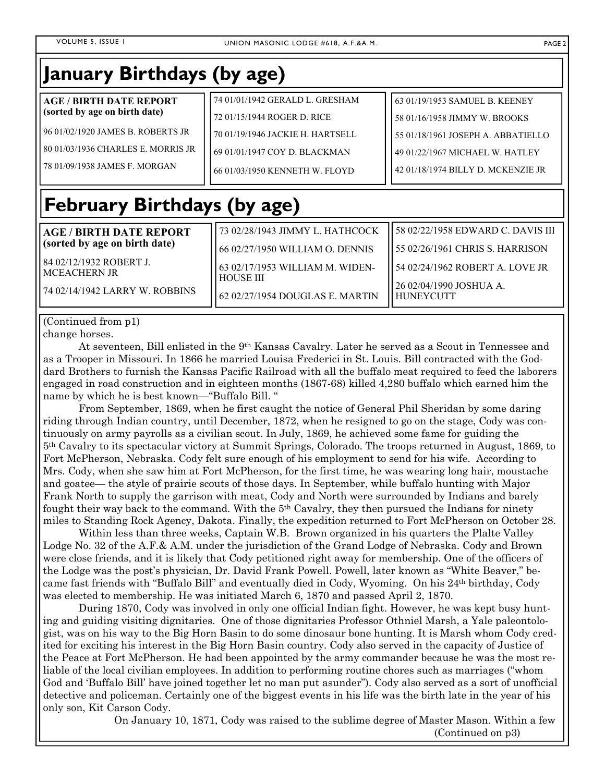| January Birthdays (by age)         |                                  |                                    |
|------------------------------------|----------------------------------|------------------------------------|
| <b>AGE / BIRTH DATE REPORT</b>     | 74 01/01/1942 GERALD L. GRESHAM  | 63 01/19/1953 SAMUEL B. KEENEY     |
| (sorted by age on birth date)      | 72 01/15/1944 ROGER D. RICE      | 58 01/16/1958 JIMMY W. BROOKS      |
| 96 01/02/1920 JAMES B. ROBERTS JR  | 70 01/19/1946 JACKIE H. HARTSELL | 55 01/18/1961 JOSEPH A. ABBATIELLO |
| 80 01/03/1936 CHARLES E. MORRIS JR | 69 01/01/1947 COY D. BLACKMAN    | 49 01/22/1967 MICHAEL W. HATLEY    |
| 78 01/09/1938 JAMES F. MORGAN      | 66 01/03/1950 KENNETH W. FLOYD   | 42 01/18/1974 BILLY D. MCKENZIE JR |
| <b>February Birthdays (by age)</b> |                                  |                                    |
| <b>AGE / BIRTH DATE REPORT</b>     | 73 02/28/1943 JIMMY L. HATHCOCK  | 58 02/22/1958 EDWARD C. DAVIS III  |
| (sorted by age on birth date)      | 66 02/27/1950 WILLIAM O. DENNIS  | 55 02/26/1961 CHRIS S. HARRISON    |
| 84 02/12/1932 ROBERT J.            | 63 02/17/1953 WILLIAM M. WIDEN-  | 54 02/24/1962 ROBERT A. LOVE JR    |
| <b>MCEACHERN JR</b>                | <b>HOUSE III</b>                 | 26 02/04/1990 JOSHUA A.            |
| 74 02/14/1942 LARRY W. ROBBINS     | 62 02/27/1954 DOUGLAS E. MARTIN  | <b>HUNEYCUTT</b>                   |

## (Continued from p1)

change horses.

 At seventeen, Bill enlisted in the 9th Kansas Cavalry. Later he served as a Scout in Tennessee and as a Trooper in Missouri. In 1866 he married Louisa Frederici in St. Louis. Bill contracted with the Goddard Brothers to furnish the Kansas Pacific Railroad with all the buffalo meat required to feed the laborers engaged in road construction and in eighteen months (1867-68) killed 4,280 buffalo which earned him the name by which he is best known—"Buffalo Bill. "

 From September, 1869, when he first caught the notice of General Phil Sheridan by some daring riding through Indian country, until December, 1872, when he resigned to go on the stage, Cody was continuously on army payrolls as a civilian scout. In July, 1869, he achieved some fame for guiding the 5th Cavalry to its spectacular victory at Summit Springs, Colorado. The troops returned in August, 1869, to Fort McPherson, Nebraska. Cody felt sure enough of his employment to send for his wife. According to Mrs. Cody, when she saw him at Fort McPherson, for the first time, he was wearing long hair, moustache and goatee— the style of prairie scouts of those days. In September, while buffalo hunting with Major Frank North to supply the garrison with meat, Cody and North were surrounded by Indians and barely fought their way back to the command. With the  $5<sup>th</sup>$  Cavalry, they then pursued the Indians for ninety miles to Standing Rock Agency, Dakota. Finally, the expedition returned to Fort McPherson on October 28.

 Within less than three weeks, Captain W.B. Brown organized in his quarters the Plalte Valley Lodge No. 32 of the A.F.& A.M. under the jurisdiction of the Grand Lodge of Nebraska. Cody and Brown were close friends, and it is likely that Cody petitioned right away for membership. One of the officers of the Lodge was the post's physician, Dr. David Frank Powell. Powell, later known as "White Beaver," became fast friends with "Buffalo Bill" and eventually died in Cody, Wyoming. On his 24th birthday, Cody was elected to membership. He was initiated March 6, 1870 and passed April 2, 1870.

 During 1870, Cody was involved in only one official Indian fight. However, he was kept busy hunting and guiding visiting dignitaries. One of those dignitaries Professor Othniel Marsh, a Yale paleontologist, was on his way to the Big Horn Basin to do some dinosaur bone hunting. It is Marsh whom Cody credited for exciting his interest in the Big Horn Basin country. Cody also served in the capacity of Justice of the Peace at Fort McPherson. He had been appointed by the army commander because he was the most reliable of the local civilian employees. In addition to performing routine chores such as marriages ("whom God and 'Buffalo Bill' have joined together let no man put asunder"). Cody also served as a sort of unofficial detective and policeman. Certainly one of the biggest events in his life was the birth late in the year of his only son, Kit Carson Cody.

> On January 10, 1871, Cody was raised to the sublime degree of Master Mason. Within a few (Continued on p3)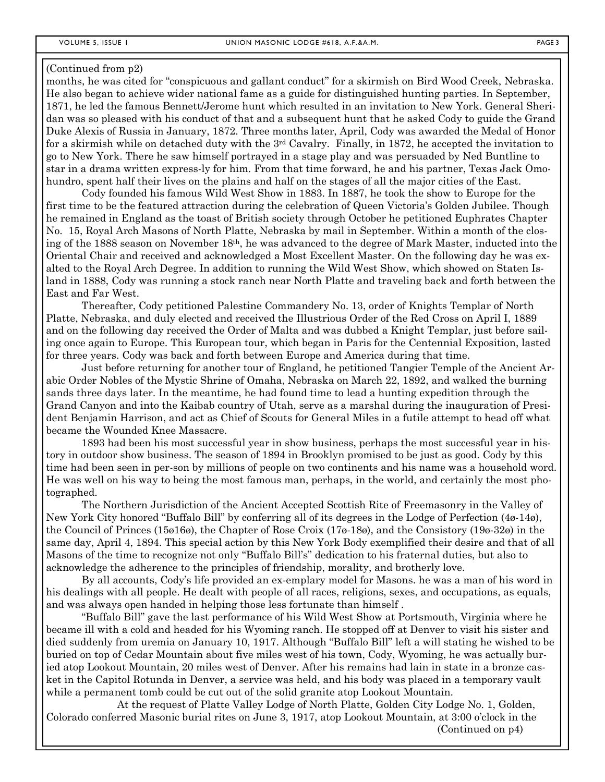months, he was cited for "conspicuous and gallant conduct" for a skirmish on Bird Wood Creek, Nebraska. He also began to achieve wider national fame as a guide for distinguished hunting parties. In September, 1871, he led the famous Bennett/Jerome hunt which resulted in an invitation to New York. General Sheridan was so pleased with his conduct of that and a subsequent hunt that he asked Cody to guide the Grand Duke Alexis of Russia in January, 1872. Three months later, April, Cody was awarded the Medal of Honor for a skirmish while on detached duty with the 3rd Cavalry. Finally, in 1872, he accepted the invitation to go to New York. There he saw himself portrayed in a stage play and was persuaded by Ned Buntline to star in a drama written express-ly for him. From that time forward, he and his partner, Texas Jack Omohundro, spent half their lives on the plains and half on the stages of all the major cities of the East.

 Cody founded his famous Wild West Show in 1883. In 1887, he took the show to Europe for the first time to be the featured attraction during the celebration of Queen Victoria's Golden Jubilee. Though he remained in England as the toast of British society through October he petitioned Euphrates Chapter No. 15, Royal Arch Masons of North Platte, Nebraska by mail in September. Within a month of the closing of the 1888 season on November 18th, he was advanced to the degree of Mark Master, inducted into the Oriental Chair and received and acknowledged a Most Excellent Master. On the following day he was exalted to the Royal Arch Degree. In addition to running the Wild West Show, which showed on Staten Island in 1888, Cody was running a stock ranch near North Platte and traveling back and forth between the East and Far West.

 Thereafter, Cody petitioned Palestine Commandery No. 13, order of Knights Templar of North Platte, Nebraska, and duly elected and received the Illustrious Order of the Red Cross on April I, 1889 and on the following day received the Order of Malta and was dubbed a Knight Templar, just before sailing once again to Europe. This European tour, which began in Paris for the Centennial Exposition, lasted for three years. Cody was back and forth between Europe and America during that time.

 Just before returning for another tour of England, he petitioned Tangier Temple of the Ancient Arabic Order Nobles of the Mystic Shrine of Omaha, Nebraska on March 22, 1892, and walked the burning sands three days later. In the meantime, he had found time to lead a hunting expedition through the Grand Canyon and into the Kaibab country of Utah, serve as a marshal during the inauguration of President Benjamin Harrison, and act as Chief of Scouts for General Miles in a futile attempt to head off what became the Wounded Knee Massacre.

 1893 had been his most successful year in show business, perhaps the most successful year in history in outdoor show business. The season of 1894 in Brooklyn promised to be just as good. Cody by this time had been seen in per-son by millions of people on two continents and his name was a household word. He was well on his way to being the most famous man, perhaps, in the world, and certainly the most photographed.

 The Northern Jurisdiction of the Ancient Accepted Scottish Rite of Freemasonry in the Valley of New York City honored "Buffalo Bill" by conferring all of its degrees in the Lodge of Perfection (4ø-14ø), the Council of Princes (15ø16ø), the Chapter of Rose Croix (17ø-18ø), and the Consistory (19ø-32ø) in the same day, April 4, 1894. This special action by this New York Body exemplified their desire and that of all Masons of the time to recognize not only "Buffalo Bill's" dedication to his fraternal duties, but also to acknowledge the adherence to the principles of friendship, morality, and brotherly love.

 By all accounts, Cody's life provided an ex-emplary model for Masons. he was a man of his word in his dealings with all people. He dealt with people of all races, religions, sexes, and occupations, as equals, and was always open handed in helping those less fortunate than himself .

 "Buffalo Bill" gave the last performance of his Wild West Show at Portsmouth, Virginia where he became ill with a cold and headed for his Wyoming ranch. He stopped off at Denver to visit his sister and died suddenly from uremia on January 10, 1917. Although "Buffalo Bill" left a will stating he wished to be buried on top of Cedar Mountain about five miles west of his town, Cody, Wyoming, he was actually buried atop Lookout Mountain, 20 miles west of Denver. After his remains had lain in state in a bronze casket in the Capitol Rotunda in Denver, a service was held, and his body was placed in a temporary vault while a permanent tomb could be cut out of the solid granite atop Lookout Mountain.

 At the request of Platte Valley Lodge of North Platte, Golden City Lodge No. 1, Golden, Colorado conferred Masonic burial rites on June 3, 1917, atop Lookout Mountain, at 3:00 o'clock in the (Continued on p4)